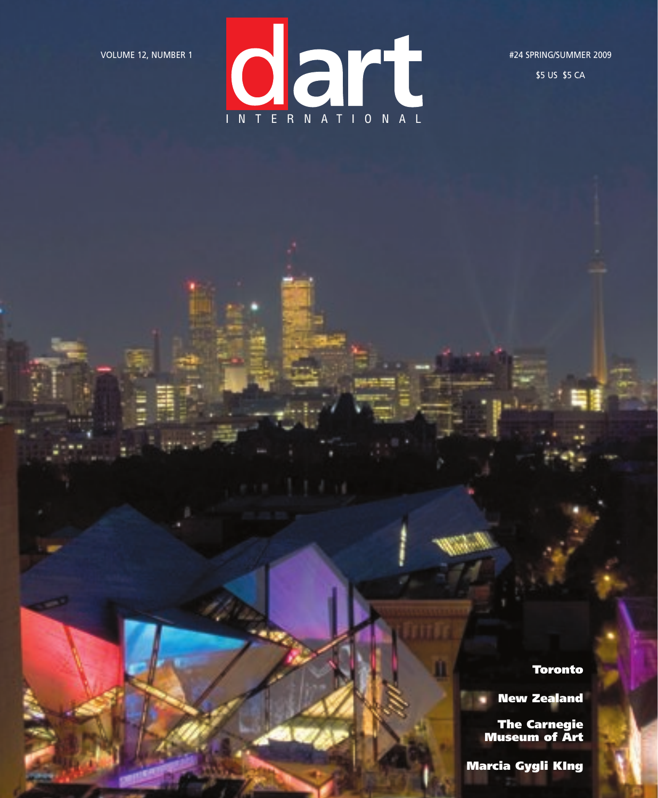

\$5 US \$5 CA

Toronto

New Zealand

The Carnegie Museum of Art

Marcia Gygli KIng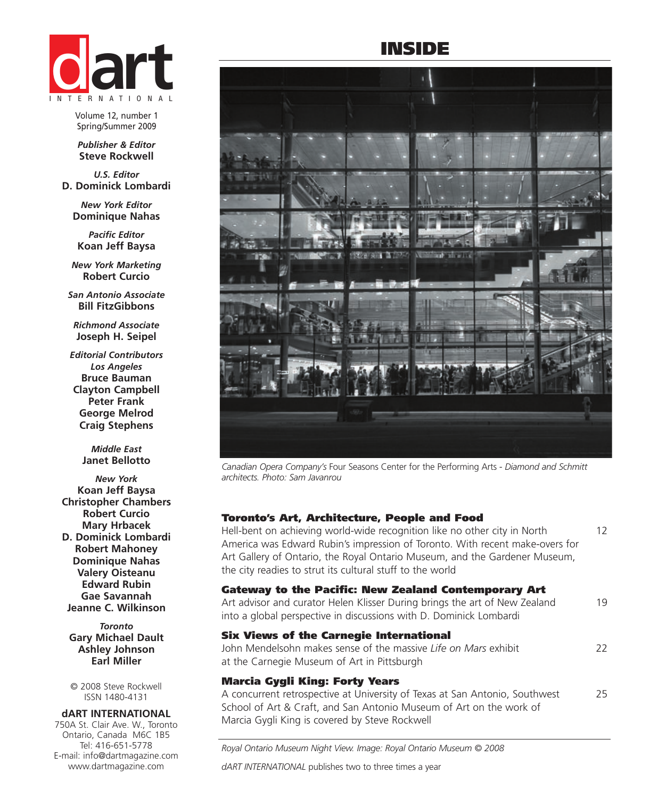

Volume 12, number 1 Spring/Summer 2009

*Publisher & Editor* **Steve Rockwell**

*U.S. Editor* **D. Dominick Lombardi**

*New York Editor* **Dominique Nahas**

*Pacific Editor* **Koan Jeff Baysa**

*New York Marketing* **Robert Curcio**

*San Antonio Associate* **Bill FitzGibbons**

*Richmond Associate* **Joseph H. Seipel**

*Editorial Contributors Los Angeles*  **Bruce Bauman Clayton Campbell Peter Frank George Melrod Craig Stephens**

> *Middle East* **Janet Bellotto**

*New York* **Koan Jeff Baysa Christopher Chambers Robert Curcio Mary Hrbacek D. Dominick Lombardi Robert Mahoney Dominique Nahas Valery Oisteanu Edward Rubin Gae Savannah Jeanne C. Wilkinson**

*Toronto* **Gary Michael Dault Ashley Johnson Earl Miller**

© 2008 Steve Rockwell ISSN 1480-4131

#### **dART INTERNATIONAL**

750A St. Clair Ave. W., Toronto Ontario, Canada M6C 1B5 Tel: 416-651-5778 E-mail: info@dartmagazine.com www.dartmagazine.com

# INSIDE



*Canadian Opera Company's* Four Seasons Center for the Performing Arts *- Diamond and Schmitt architects. Photo: Sam Javanrou*

#### Toronto's Art, Architecture, People and Food

Hell-bent on achieving world-wide recognition like no other city in North 12 America was Edward Rubin's impression of Toronto. With recent make-overs for Art Gallery of Ontario, the Royal Ontario Museum, and the Gardener Museum, the city readies to strut its cultural stuff to the world

#### Gateway to the Pacific: New Zealand Contemporary Art

Art advisor and curator Helen Klisser During brings the art of New Zealand 19 into a global perspective in discussions with D. Dominick Lombardi

# Six Views of the Carnegie International

John Mendelsohn makes sense of the massive *Life on Mars* exhibit 22 at the Carnegie Museum of Art in Pittsburgh

## Marcia Gygli King: Forty Years

A concurrent retrospective at University of Texas at San Antonio, Southwest 25 School of Art & Craft, and San Antonio Museum of Art on the work of Marcia Gygli King is covered by Steve Rockwell

*Royal Ontario Museum Night View. Image: Royal Ontario Museum © 2008*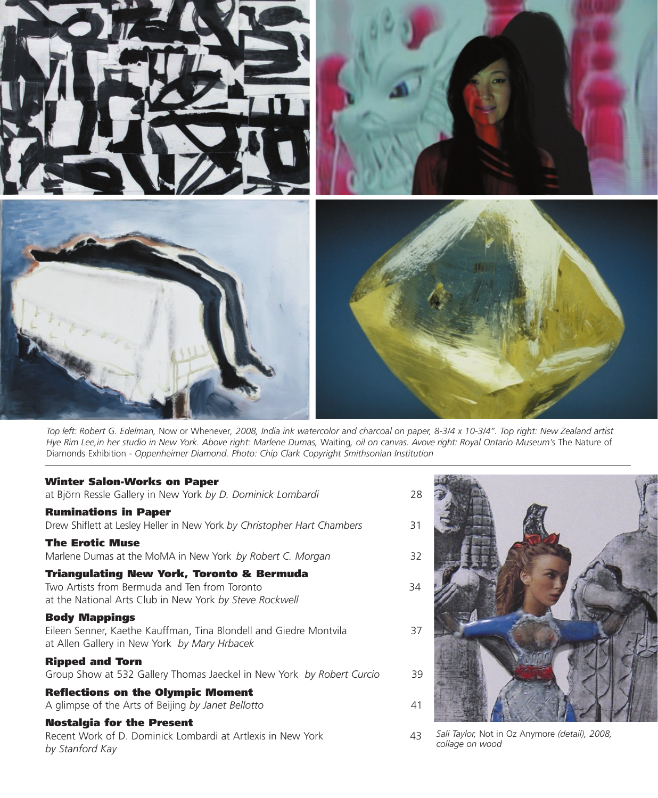

*Top left: Robert G. Edelman,* Now or Whenever*, 2008, India ink watercolor and charcoal on paper, 8-3/4 x 10-3/4". Top right: New Zealand artist Hye Rim Lee,in her studio in New York. Above right: Marlene Dumas,* Waiting*, oil on canvas. Avove right: Royal Ontario Museum's* The Nature of Diamonds Exhibition *- Oppenheimer Diamond. Photo: Chip Clark Copyright Smithsonian Institution*

### Winter Salon-Works on Paper

| at Björn Ressle Gallery in New York by D. Dominick Lombardi                                                                                           | 28 |
|-------------------------------------------------------------------------------------------------------------------------------------------------------|----|
| <b>Ruminations in Paper</b><br>Drew Shiflett at Lesley Heller in New York by Christopher Hart Chambers                                                | 31 |
| <b>The Erotic Muse</b><br>Marlene Dumas at the MoMA in New York by Robert C. Morgan                                                                   | 32 |
| Triangulating New York, Toronto & Bermuda<br>Two Artists from Bermuda and Ten from Toronto<br>at the National Arts Club in New York by Steve Rockwell | 34 |
| <b>Body Mappings</b><br>Eileen Senner, Kaethe Kauffman, Tina Blondell and Giedre Montvila<br>at Allen Gallery in New York by Mary Hrbacek             | 37 |
| <b>Ripped and Torn</b><br>Group Show at 532 Gallery Thomas Jaeckel in New York by Robert Curcio                                                       | 39 |
| <b>Reflections on the Olympic Moment</b><br>A glimpse of the Arts of Beijing by Janet Bellotto                                                        | 41 |
| <b>Nostalgia for the Present</b><br>Recent Work of D. Dominick Lombardi at Artlexis in New York<br>by Stanford Kay                                    | 43 |
|                                                                                                                                                       |    |



*Sali Taylor,* Not in Oz Anymore *(detail), 2008, collage on wood*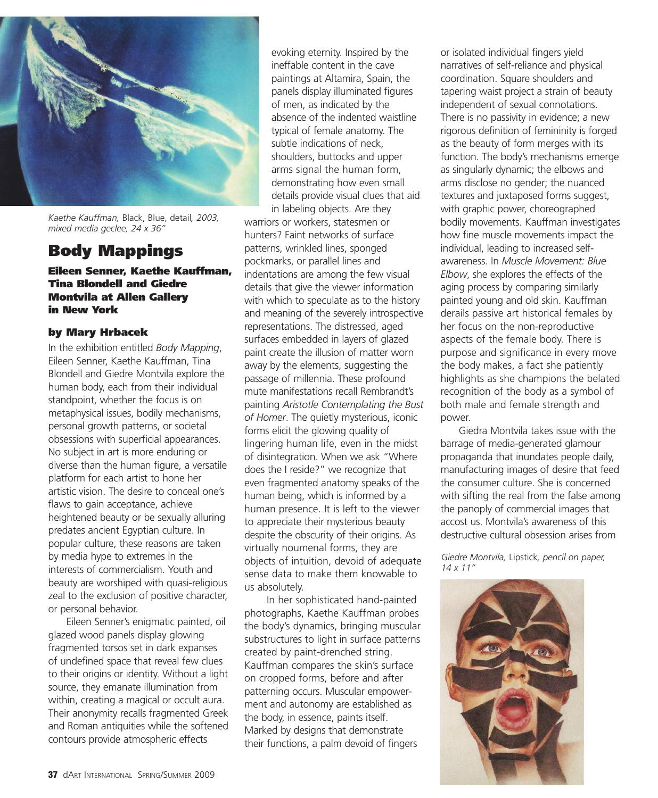

*Kaethe Kauffman,* Black, Blue, detail*, 2003, mixed media geclee, 24 x 36"*

# Body Mappings

Eileen Senner, Kaethe Kauffman, Tina Blondell and Giedre Montvila at Allen Gallery in New York

## by Mary Hrbacek

In the exhibition entitled *Body Mapping*, Eileen Senner, Kaethe Kauffman, Tina Blondell and Giedre Montvila explore the human body, each from their individual standpoint, whether the focus is on metaphysical issues, bodily mechanisms, personal growth patterns, or societal obsessions with superficial appearances. No subject in art is more enduring or diverse than the human figure, a versatile platform for each artist to hone her artistic vision. The desire to conceal one's flaws to gain acceptance, achieve heightened beauty or be sexually alluring predates ancient Egyptian culture. In popular culture, these reasons are taken by media hype to extremes in the interests of commercialism. Youth and beauty are worshiped with quasi-religious zeal to the exclusion of positive character, or personal behavior.

Eileen Senner's enigmatic painted, oil glazed wood panels display glowing fragmented torsos set in dark expanses of undefined space that reveal few clues to their origins or identity. Without a light source, they emanate illumination from within, creating a magical or occult aura. Their anonymity recalls fragmented Greek and Roman antiquities while the softened contours provide atmospheric effects

evoking eternity. Inspired by the ineffable content in the cave paintings at Altamira, Spain, the panels display illuminated figures of men, as indicated by the absence of the indented waistline typical of female anatomy. The subtle indications of neck, shoulders, buttocks and upper arms signal the human form, demonstrating how even small details provide visual clues that aid in labeling objects. Are they

warriors or workers, statesmen or hunters? Faint networks of surface patterns, wrinkled lines, sponged pockmarks, or parallel lines and indentations are among the few visual details that give the viewer information with which to speculate as to the history and meaning of the severely introspective representations. The distressed, aged surfaces embedded in layers of glazed paint create the illusion of matter worn away by the elements, suggesting the passage of millennia. These profound mute manifestations recall Rembrandt's painting *Aristotle Contemplating the Bust of Homer*. The quietly mysterious, iconic forms elicit the glowing quality of lingering human life, even in the midst of disintegration. When we ask "Where does the I reside?" we recognize that even fragmented anatomy speaks of the human being, which is informed by a human presence. It is left to the viewer to appreciate their mysterious beauty despite the obscurity of their origins. As virtually noumenal forms, they are objects of intuition, devoid of adequate sense data to make them knowable to us absolutely.

In her sophisticated hand-painted photographs, Kaethe Kauffman probes the body's dynamics, bringing muscular substructures to light in surface patterns created by paint-drenched string. Kauffman compares the skin's surface on cropped forms, before and after patterning occurs. Muscular empowerment and autonomy are established as the body, in essence, paints itself. Marked by designs that demonstrate their functions, a palm devoid of fingers

or isolated individual fingers yield narratives of self-reliance and physical coordination. Square shoulders and tapering waist project a strain of beauty independent of sexual connotations. There is no passivity in evidence; a new rigorous definition of femininity is forged as the beauty of form merges with its function. The body's mechanisms emerge as singularly dynamic; the elbows and arms disclose no gender; the nuanced textures and juxtaposed forms suggest, with graphic power, choreographed bodily movements. Kauffman investigates how fine muscle movements impact the individual, leading to increased selfawareness. In *Muscle Movement: Blue Elbow*, she explores the effects of the aging process by comparing similarly painted young and old skin. Kauffman derails passive art historical females by her focus on the non-reproductive aspects of the female body. There is purpose and significance in every move the body makes, a fact she patiently highlights as she champions the belated recognition of the body as a symbol of both male and female strength and power.

Giedra Montvila takes issue with the barrage of media-generated glamour propaganda that inundates people daily, manufacturing images of desire that feed the consumer culture. She is concerned with sifting the real from the false among the panoply of commercial images that accost us. Montvila's awareness of this destructive cultural obsession arises from

*Giedre Montvila,* Lipstick*, pencil on paper, 14 x 11"*